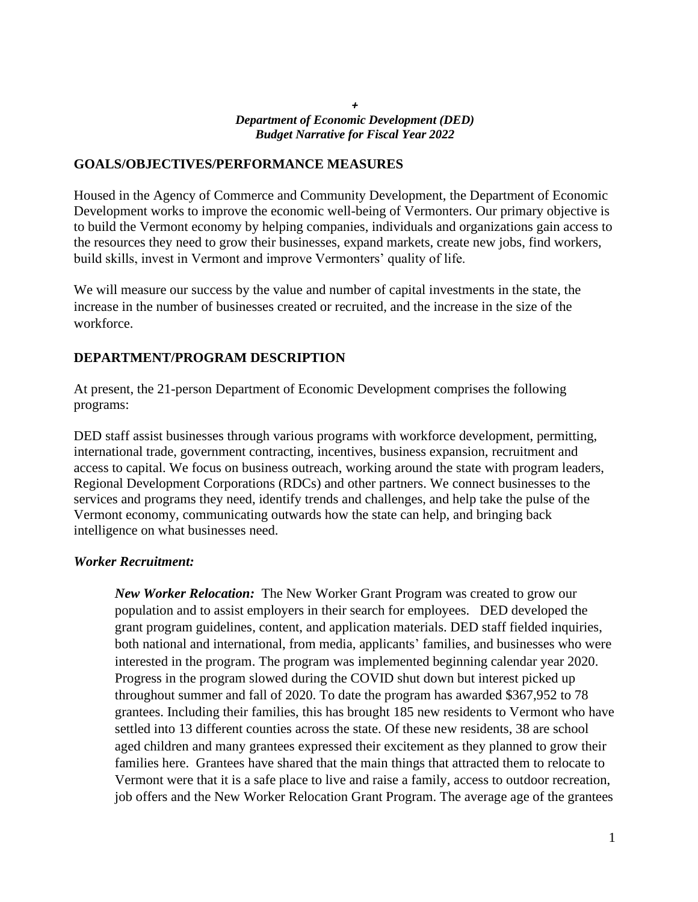#### *+ Department of Economic Development (DED) Budget Narrative for Fiscal Year 2022*

### **GOALS/OBJECTIVES/PERFORMANCE MEASURES**

Housed in the Agency of Commerce and Community Development, the Department of Economic Development works to improve the economic well-being of Vermonters. Our primary objective is to build the Vermont economy by helping companies, individuals and organizations gain access to the resources they need to grow their businesses, expand markets, create new jobs, find workers, build skills, invest in Vermont and improve Vermonters' quality of life.

We will measure our success by the value and number of capital investments in the state, the increase in the number of businesses created or recruited, and the increase in the size of the workforce.

## **DEPARTMENT/PROGRAM DESCRIPTION**

At present, the 21-person Department of Economic Development comprises the following programs:

DED staff assist businesses through various programs with workforce development, permitting, international trade, government contracting, incentives, business expansion, recruitment and access to capital. We focus on business outreach, working around the state with program leaders, Regional Development Corporations (RDCs) and other partners. We connect businesses to the services and programs they need, identify trends and challenges, and help take the pulse of the Vermont economy, communicating outwards how the state can help, and bringing back intelligence on what businesses need.

### *Worker Recruitment:*

*New Worker Relocation:* The New Worker Grant Program was created to grow our population and to assist employers in their search for employees. DED developed the grant program guidelines, content, and application materials. DED staff fielded inquiries, both national and international, from media, applicants' families, and businesses who were interested in the program. The program was implemented beginning calendar year 2020. Progress in the program slowed during the COVID shut down but interest picked up throughout summer and fall of 2020. To date the program has awarded \$367,952 to 78 grantees. Including their families, this has brought 185 new residents to Vermont who have settled into 13 different counties across the state. Of these new residents, 38 are school aged children and many grantees expressed their excitement as they planned to grow their families here. Grantees have shared that the main things that attracted them to relocate to Vermont were that it is a safe place to live and raise a family, access to outdoor recreation, job offers and the New Worker Relocation Grant Program. The average age of the grantees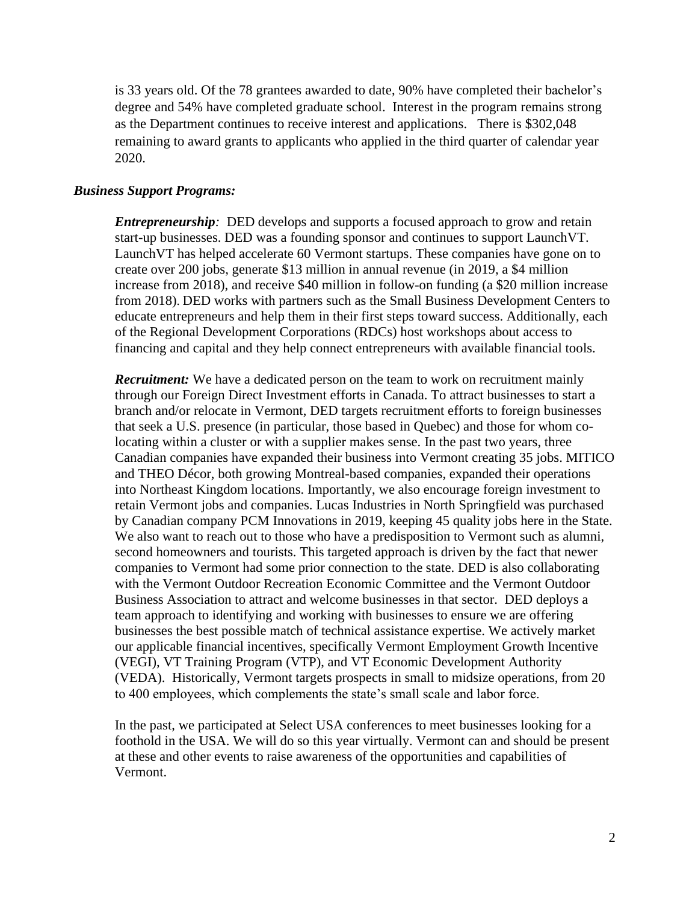is 33 years old. Of the 78 grantees awarded to date, 90% have completed their bachelor's degree and 54% have completed graduate school. Interest in the program remains strong as the Department continues to receive interest and applications. There is \$302,048 remaining to award grants to applicants who applied in the third quarter of calendar year 2020.

#### *Business Support Programs:*

*Entrepreneurship*: DED develops and supports a focused approach to grow and retain start-up businesses. DED was a founding sponsor and continues to support LaunchVT. LaunchVT has helped accelerate 60 Vermont startups. These companies have gone on to create over 200 jobs, generate \$13 million in annual revenue (in 2019, a \$4 million increase from 2018), and receive \$40 million in follow-on funding (a \$20 million increase from 2018). DED works with partners such as the Small Business Development Centers to educate entrepreneurs and help them in their first steps toward success. Additionally, each of the Regional Development Corporations (RDCs) host workshops about access to financing and capital and they help connect entrepreneurs with available financial tools.

*Recruitment:* We have a dedicated person on the team to work on recruitment mainly through our Foreign Direct Investment efforts in Canada. To attract businesses to start a branch and/or relocate in Vermont, DED targets recruitment efforts to foreign businesses that seek a U.S. presence (in particular, those based in Quebec) and those for whom colocating within a cluster or with a supplier makes sense. In the past two years, three Canadian companies have expanded their business into Vermont creating 35 jobs. MITICO and THEO Décor, both growing Montreal-based companies, expanded their operations into Northeast Kingdom locations. Importantly, we also encourage foreign investment to retain Vermont jobs and companies. Lucas Industries in North Springfield was purchased by Canadian company PCM Innovations in 2019, keeping 45 quality jobs here in the State. We also want to reach out to those who have a predisposition to Vermont such as alumni, second homeowners and tourists. This targeted approach is driven by the fact that newer companies to Vermont had some prior connection to the state. DED is also collaborating with the Vermont Outdoor Recreation Economic Committee and the Vermont Outdoor Business Association to attract and welcome businesses in that sector. DED deploys a team approach to identifying and working with businesses to ensure we are offering businesses the best possible match of technical assistance expertise. We actively market our applicable financial incentives, specifically Vermont Employment Growth Incentive (VEGI), VT Training Program (VTP), and VT Economic Development Authority (VEDA). Historically, Vermont targets prospects in small to midsize operations, from 20 to 400 employees, which complements the state's small scale and labor force.

In the past, we participated at Select USA conferences to meet businesses looking for a foothold in the USA. We will do so this year virtually. Vermont can and should be present at these and other events to raise awareness of the opportunities and capabilities of Vermont.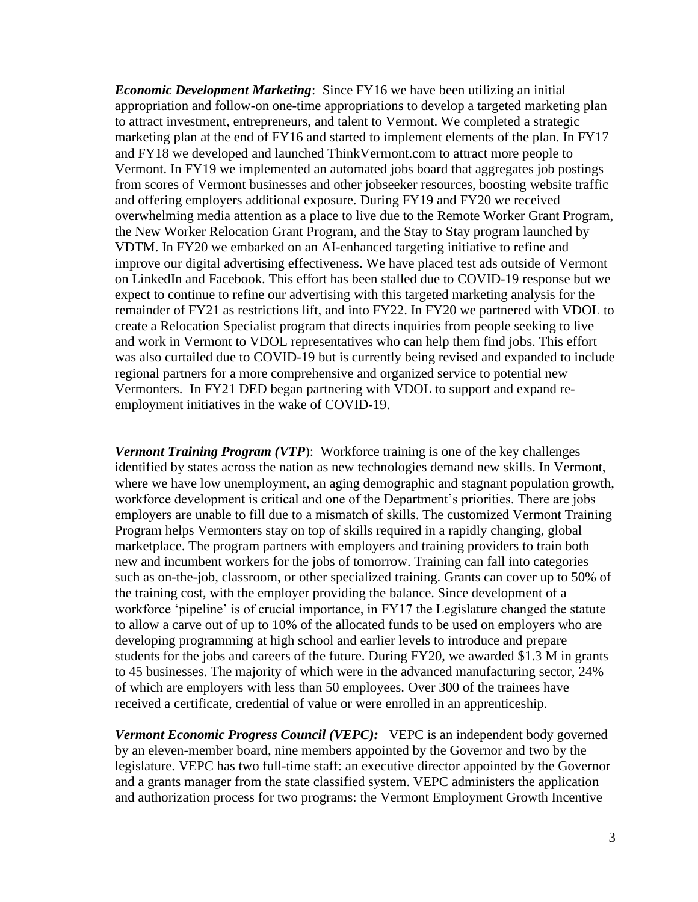*Economic Development Marketing*: Since FY16 we have been utilizing an initial appropriation and follow-on one-time appropriations to develop a targeted marketing plan to attract investment, entrepreneurs, and talent to Vermont. We completed a strategic marketing plan at the end of FY16 and started to implement elements of the plan. In FY17 and FY18 we developed and launched [ThinkVermont.com](https://thinkvermont.com/) to attract more people to Vermont. In FY19 we implemented an automated jobs board that aggregates job postings from scores of Vermont businesses and other jobseeker resources, boosting website traffic and offering employers additional exposure. During FY19 and FY20 we received overwhelming media attention as a place to live due to the Remote Worker Grant Program, the New Worker Relocation Grant Program, and the Stay to Stay program launched by VDTM. In FY20 we embarked on an AI-enhanced targeting initiative to refine and improve our digital advertising effectiveness. We have placed test ads outside of Vermont on LinkedIn and Facebook. This effort has been stalled due to COVID-19 response but we expect to continue to refine our advertising with this targeted marketing analysis for the remainder of FY21 as restrictions lift, and into FY22. In FY20 we partnered with VDOL to create a Relocation Specialist program that directs inquiries from people seeking to live and work in Vermont to VDOL representatives who can help them find jobs. This effort was also curtailed due to COVID-19 but is currently being revised and expanded to include regional partners for a more comprehensive and organized service to potential new Vermonters. In FY21 DED began partnering with VDOL to support and expand reemployment initiatives in the wake of COVID-19.

*Vermont Training Program (VTP*): Workforce training is one of the key challenges identified by states across the nation as new technologies demand new skills. In Vermont, where we have low unemployment, an aging demographic and stagnant population growth, workforce development is critical and one of the Department's priorities. There are jobs employers are unable to fill due to a mismatch of skills. The customized Vermont Training Program helps Vermonters stay on top of skills required in a rapidly changing, global marketplace. The program partners with employers and training providers to train both new and incumbent workers for the jobs of tomorrow. Training can fall into categories such as on-the-job, classroom, or other specialized training. Grants can cover up to 50% of the training cost, with the employer providing the balance. Since development of a workforce 'pipeline' is of crucial importance, in FY17 the Legislature changed the statute to allow a carve out of up to 10% of the allocated funds to be used on employers who are developing programming at high school and earlier levels to introduce and prepare students for the jobs and careers of the future. During FY20, we awarded \$1.3 M in grants to 45 businesses. The majority of which were in the advanced manufacturing sector, 24% of which are employers with less than 50 employees. Over 300 of the trainees have received a certificate, credential of value or were enrolled in an apprenticeship.

*Vermont Economic Progress Council (VEPC):* VEPC is an independent body governed by an eleven-member board, nine members appointed by the Governor and two by the legislature. VEPC has two full-time staff: an executive director appointed by the Governor and a grants manager from the state classified system. VEPC administers the application and authorization process for two programs: the Vermont Employment Growth Incentive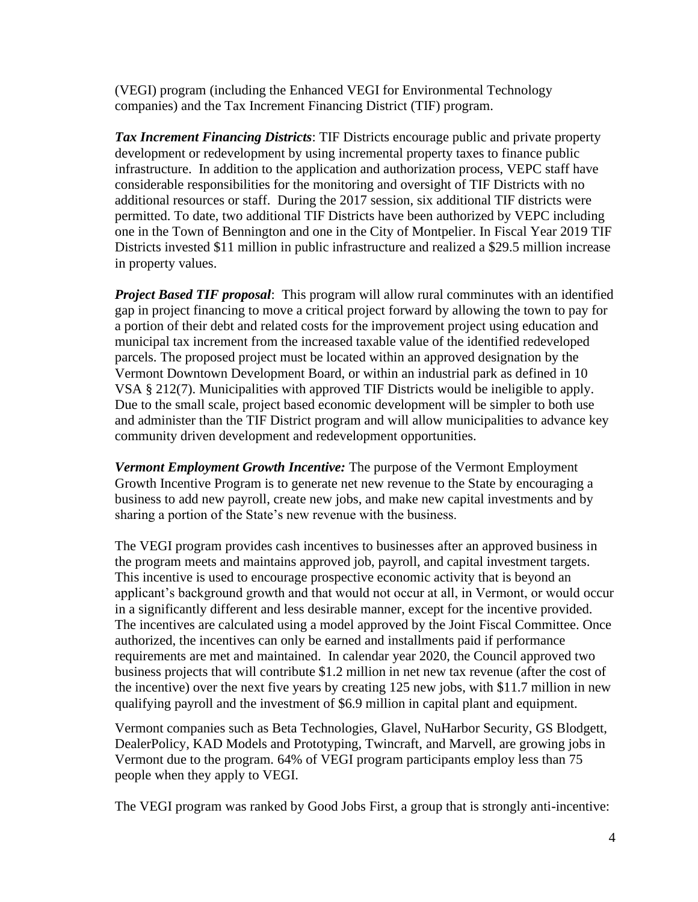(VEGI) program (including the Enhanced VEGI for Environmental Technology companies) and the Tax Increment Financing District (TIF) program.

*Tax Increment Financing Districts*: TIF Districts encourage public and private property development or redevelopment by using incremental property taxes to finance public infrastructure. In addition to the application and authorization process, VEPC staff have considerable responsibilities for the monitoring and oversight of TIF Districts with no additional resources or staff. During the 2017 session, six additional TIF districts were permitted. To date, two additional TIF Districts have been authorized by VEPC including one in the Town of Bennington and one in the City of Montpelier. In Fiscal Year 2019 TIF Districts invested \$11 million in public infrastructure and realized a \$29.5 million increase in property values.

*Project Based TIF proposal*: This program will allow rural comminutes with an identified gap in project financing to move a critical project forward by allowing the town to pay for a portion of their debt and related costs for the improvement project using education and municipal tax increment from the increased taxable value of the identified redeveloped parcels. The proposed project must be located within an approved designation by the Vermont Downtown Development Board, or within an industrial park as defined in 10 VSA § 212(7). Municipalities with approved TIF Districts would be ineligible to apply. Due to the small scale, project based economic development will be simpler to both use and administer than the TIF District program and will allow municipalities to advance key community driven development and redevelopment opportunities.

*Vermont Employment Growth Incentive:* The purpose of the Vermont Employment Growth Incentive Program is to generate net new revenue to the State by encouraging a business to add new payroll, create new jobs, and make new capital investments and by sharing a portion of the State's new revenue with the business.

The VEGI program provides cash incentives to businesses after an approved business in the program meets and maintains approved job, payroll, and capital investment targets. This incentive is used to encourage prospective economic activity that is beyond an applicant's background growth and that would not occur at all, in Vermont, or would occur in a significantly different and less desirable manner, except for the incentive provided. The incentives are calculated using a model approved by the Joint Fiscal Committee. Once authorized, the incentives can only be earned and installments paid if performance requirements are met and maintained. In calendar year 2020, the Council approved two business projects that will contribute \$1.2 million in net new tax revenue (after the cost of the incentive) over the next five years by creating 125 new jobs, with \$11.7 million in new qualifying payroll and the investment of \$6.9 million in capital plant and equipment.

Vermont companies such as Beta Technologies, Glavel, NuHarbor Security, GS Blodgett, DealerPolicy, KAD Models and Prototyping, Twincraft, and Marvell, are growing jobs in Vermont due to the program. 64% of VEGI program participants employ less than 75 people when they apply to VEGI.

The VEGI program was ranked by Good Jobs First, a group that is strongly anti-incentive: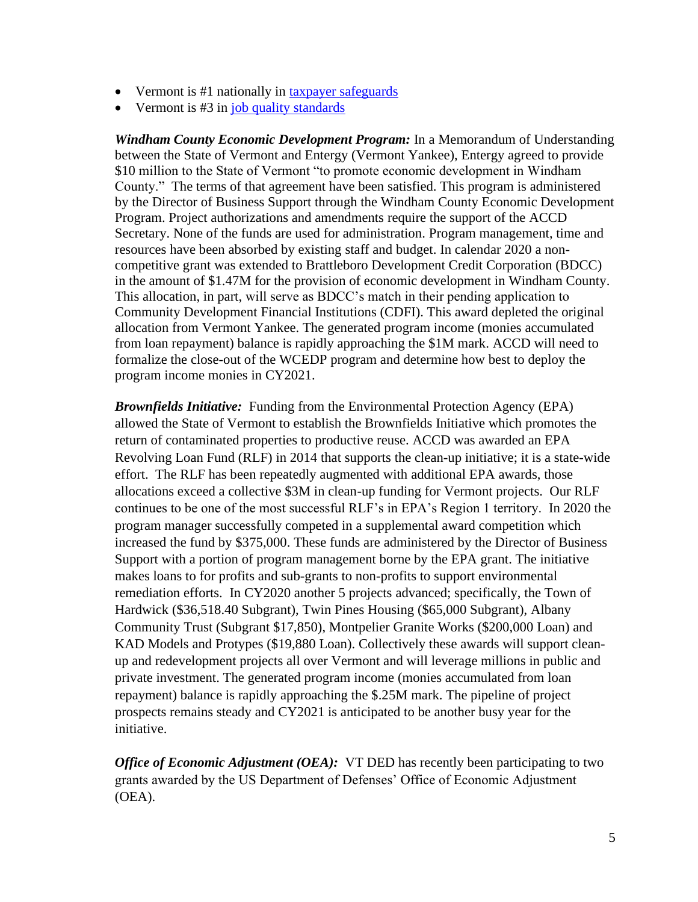- Vermont is #1 nationally in [taxpayer safeguards](http://www.goodjobsfirst.org/sites/default/files/docs/pdf/moneybackexecsum.pdf)
- Vermont is #3 in [job quality standards](http://www.goodjobsfirst.org/sites/default/files/docs/pdf/moneyforsomethingexecsum.pdf)

*Windham County Economic Development Program:* In a Memorandum of Understanding between the State of Vermont and Entergy (Vermont Yankee), Entergy agreed to provide \$10 million to the State of Vermont "to promote economic development in Windham County." The terms of that agreement have been satisfied. This program is administered by the Director of Business Support through the Windham County Economic Development Program. Project authorizations and amendments require the support of the ACCD Secretary. None of the funds are used for administration. Program management, time and resources have been absorbed by existing staff and budget. In calendar 2020 a noncompetitive grant was extended to Brattleboro Development Credit Corporation (BDCC) in the amount of \$1.47M for the provision of economic development in Windham County. This allocation, in part, will serve as BDCC's match in their pending application to Community Development Financial Institutions (CDFI). This award depleted the original allocation from Vermont Yankee. The generated program income (monies accumulated from loan repayment) balance is rapidly approaching the \$1M mark. ACCD will need to formalize the close-out of the WCEDP program and determine how best to deploy the program income monies in CY2021.

*Brownfields Initiative:* Funding from the Environmental Protection Agency (EPA) allowed the State of Vermont to establish the Brownfields Initiative which promotes the return of contaminated properties to productive reuse. ACCD was awarded an EPA Revolving Loan Fund (RLF) in 2014 that supports the clean-up initiative; it is a state-wide effort. The RLF has been repeatedly augmented with additional EPA awards, those allocations exceed a collective \$3M in clean-up funding for Vermont projects. Our RLF continues to be one of the most successful RLF's in EPA's Region 1 territory. In 2020 the program manager successfully competed in a supplemental award competition which increased the fund by \$375,000. These funds are administered by the Director of Business Support with a portion of program management borne by the EPA grant. The initiative makes loans to for profits and sub-grants to non-profits to support environmental remediation efforts. In CY2020 another 5 projects advanced; specifically, the Town of Hardwick (\$36,518.40 Subgrant), Twin Pines Housing (\$65,000 Subgrant), Albany Community Trust (Subgrant \$17,850), Montpelier Granite Works (\$200,000 Loan) and KAD Models and Protypes (\$19,880 Loan). Collectively these awards will support cleanup and redevelopment projects all over Vermont and will leverage millions in public and private investment. The generated program income (monies accumulated from loan repayment) balance is rapidly approaching the \$.25M mark. The pipeline of project prospects remains steady and CY2021 is anticipated to be another busy year for the initiative.

*Office of Economic Adjustment (OEA):* VT DED has recently been participating to two grants awarded by the US Department of Defenses' Office of Economic Adjustment (OEA).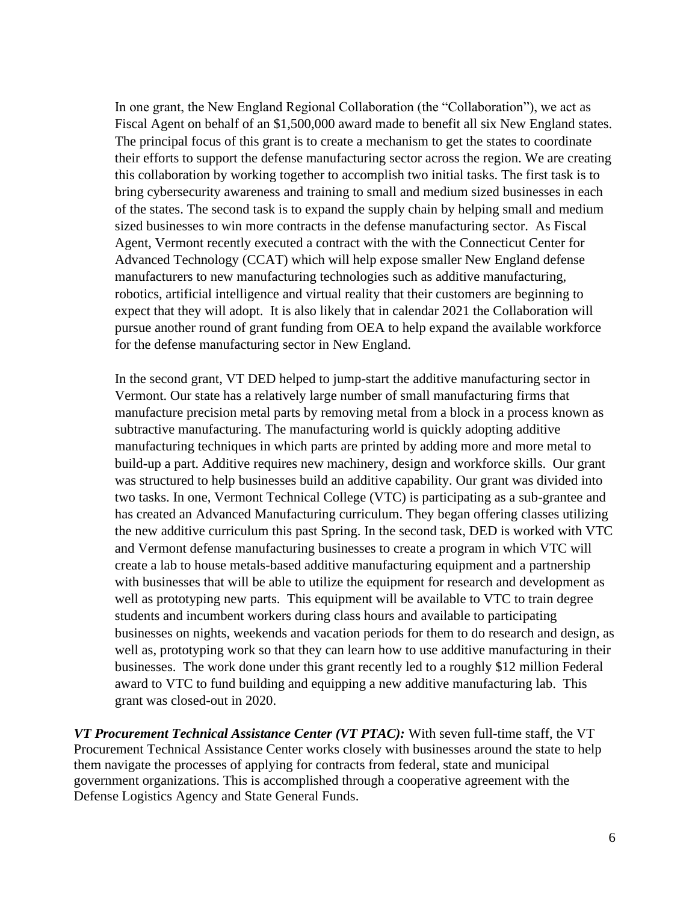In one grant, the New England Regional Collaboration (the "Collaboration"), we act as Fiscal Agent on behalf of an \$1,500,000 award made to benefit all six New England states. The principal focus of this grant is to create a mechanism to get the states to coordinate their efforts to support the defense manufacturing sector across the region. We are creating this collaboration by working together to accomplish two initial tasks. The first task is to bring cybersecurity awareness and training to small and medium sized businesses in each of the states. The second task is to expand the supply chain by helping small and medium sized businesses to win more contracts in the defense manufacturing sector. As Fiscal Agent, Vermont recently executed a contract with the with the Connecticut Center for Advanced Technology (CCAT) which will help expose smaller New England defense manufacturers to new manufacturing technologies such as additive manufacturing, robotics, artificial intelligence and virtual reality that their customers are beginning to expect that they will adopt. It is also likely that in calendar 2021 the Collaboration will pursue another round of grant funding from OEA to help expand the available workforce for the defense manufacturing sector in New England.

In the second grant, VT DED helped to jump-start the additive manufacturing sector in Vermont. Our state has a relatively large number of small manufacturing firms that manufacture precision metal parts by removing metal from a block in a process known as subtractive manufacturing. The manufacturing world is quickly adopting additive manufacturing techniques in which parts are printed by adding more and more metal to build-up a part. Additive requires new machinery, design and workforce skills. Our grant was structured to help businesses build an additive capability. Our grant was divided into two tasks. In one, Vermont Technical College (VTC) is participating as a sub-grantee and has created an Advanced Manufacturing curriculum. They began offering classes utilizing the new additive curriculum this past Spring. In the second task, DED is worked with VTC and Vermont defense manufacturing businesses to create a program in which VTC will create a lab to house metals-based additive manufacturing equipment and a partnership with businesses that will be able to utilize the equipment for research and development as well as prototyping new parts. This equipment will be available to VTC to train degree students and incumbent workers during class hours and available to participating businesses on nights, weekends and vacation periods for them to do research and design, as well as, prototyping work so that they can learn how to use additive manufacturing in their businesses. The work done under this grant recently led to a roughly \$12 million Federal award to VTC to fund building and equipping a new additive manufacturing lab. This grant was closed-out in 2020.

*VT Procurement Technical Assistance Center (VT PTAC):* With seven full-time staff, the VT Procurement Technical Assistance Center works closely with businesses around the state to help them navigate the processes of applying for contracts from federal, state and municipal government organizations. This is accomplished through a cooperative agreement with the Defense Logistics Agency and State General Funds.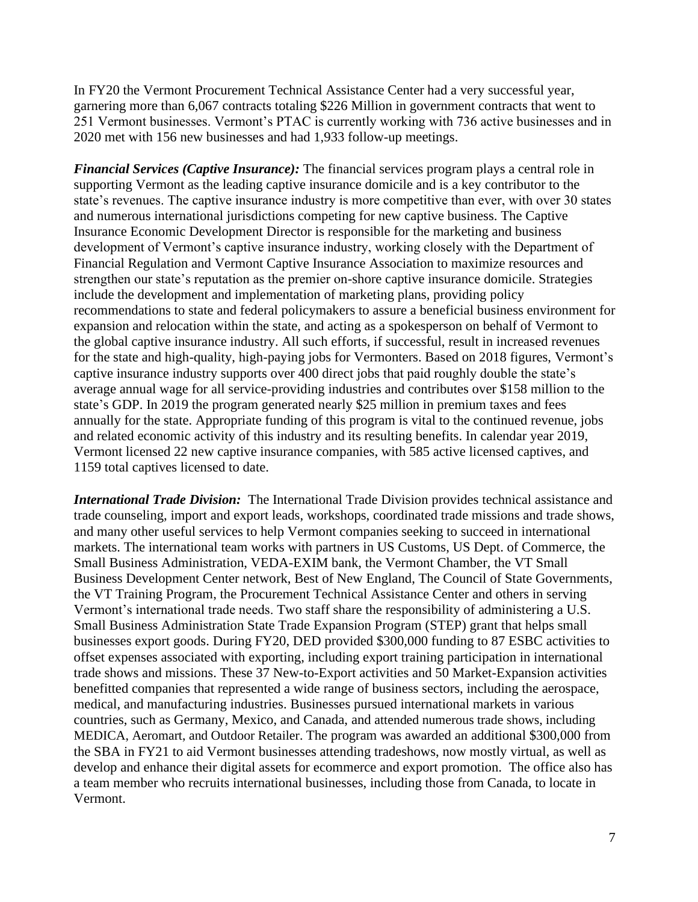In FY20 the Vermont Procurement Technical Assistance Center had a very successful year, garnering more than 6,067 contracts totaling \$226 Million in government contracts that went to 251 Vermont businesses. Vermont's PTAC is currently working with 736 active businesses and in 2020 met with 156 new businesses and had 1,933 follow-up meetings.

*Financial Services (Captive Insurance):* The financial services program plays a central role in supporting Vermont as the leading captive insurance domicile and is a key contributor to the state's revenues. The captive insurance industry is more competitive than ever, with over 30 states and numerous international jurisdictions competing for new captive business. The Captive Insurance Economic Development Director is responsible for the marketing and business development of Vermont's captive insurance industry, working closely with the Department of Financial Regulation and Vermont Captive Insurance Association to maximize resources and strengthen our state's reputation as the premier on-shore captive insurance domicile. Strategies include the development and implementation of marketing plans, providing policy recommendations to state and federal policymakers to assure a beneficial business environment for expansion and relocation within the state, and acting as a spokesperson on behalf of Vermont to the global captive insurance industry. All such efforts, if successful, result in increased revenues for the state and high-quality, high-paying jobs for Vermonters. Based on 2018 figures, Vermont's captive insurance industry supports over 400 direct jobs that paid roughly double the state's average annual wage for all service-providing industries and contributes over \$158 million to the state's GDP. In 2019 the program generated nearly \$25 million in premium taxes and fees annually for the state. Appropriate funding of this program is vital to the continued revenue, jobs and related economic activity of this industry and its resulting benefits. In calendar year 2019, Vermont licensed 22 new captive insurance companies, with 585 active licensed captives, and 1159 total captives licensed to date.

*International Trade Division:* The International Trade Division provides technical assistance and trade counseling, import and export leads, workshops, coordinated trade missions and trade shows, and many other useful services to help Vermont companies seeking to succeed in international markets. The international team works with partners in US Customs, US Dept. of Commerce, the Small Business Administration, VEDA-EXIM bank, the Vermont Chamber, the VT Small Business Development Center network, Best of New England, The Council of State Governments, the VT Training Program, the Procurement Technical Assistance Center and others in serving Vermont's international trade needs. Two staff share the responsibility of administering a U.S. Small Business Administration State Trade Expansion Program (STEP) grant that helps small businesses export goods. During FY20, DED provided \$300,000 funding to 87 ESBC activities to offset expenses associated with exporting, including export training participation in international trade shows and missions. These 37 New-to-Export activities and 50 Market-Expansion activities benefitted companies that represented a wide range of business sectors, including the aerospace, medical, and manufacturing industries. Businesses pursued international markets in various countries, such as Germany, Mexico, and Canada, and attended numerous trade shows, including MEDICA, Aeromart, and Outdoor Retailer. The program was awarded an additional \$300,000 from the SBA in FY21 to aid Vermont businesses attending tradeshows, now mostly virtual, as well as develop and enhance their digital assets for ecommerce and export promotion. The office also has a team member who recruits international businesses, including those from Canada, to locate in Vermont.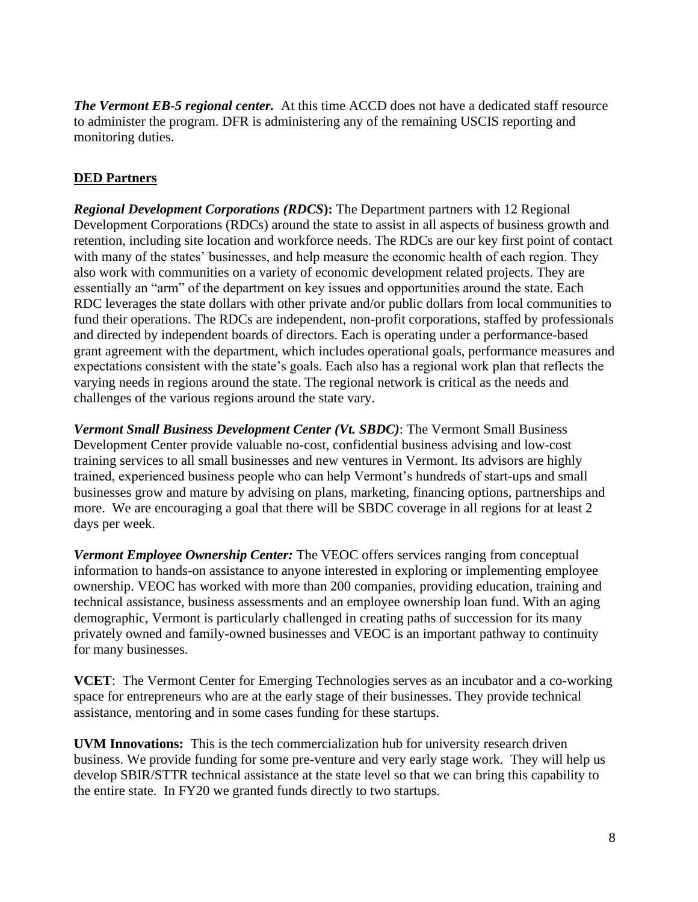**The Vermont EB-5 regional center.** At this time ACCD does not have a dedicated staff resource to administer the program. DFR is administering any of the remaining USCIS reporting and monitoring duties.

## **DED Partners**

*Regional Development Corporations (RDCS***):** The Department partners with 12 Regional Development Corporations (RDCs) around the state to assist in all aspects of business growth and retention, including site location and workforce needs. The RDCs are our key first point of contact with many of the states' businesses, and help measure the economic health of each region. They also work with communities on a variety of economic development related projects. They are essentially an "arm" of the department on key issues and opportunities around the state. Each RDC leverages the state dollars with other private and/or public dollars from local communities to fund their operations. The RDCs are independent, non-profit corporations, staffed by professionals and directed by independent boards of directors. Each is operating under a performance-based grant agreement with the department, which includes operational goals, performance measures and expectations consistent with the state's goals. Each also has a regional work plan that reflects the varying needs in regions around the state. The regional network is critical as the needs and challenges of the various regions around the state vary.

*Vermont Small Business Development Center (Vt. SBDC)*: The Vermont Small Business Development Center provide valuable no-cost, confidential business advising and low-cost training services to all small businesses and new ventures in Vermont. Its advisors are highly trained, experienced business people who can help Vermont's hundreds of start-ups and small businesses grow and mature by advising on plans, marketing, financing options, partnerships and more. We are encouraging a goal that there will be SBDC coverage in all regions for at least 2 days per week.

*Vermont Employee Ownership Center:* The VEOC offers services ranging from conceptual information to hands-on assistance to anyone interested in exploring or implementing employee ownership. VEOC has worked with more than 200 companies, providing education, training and technical assistance, business assessments and an employee ownership loan fund. With an aging demographic, Vermont is particularly challenged in creating paths of succession for its many privately owned and family-owned businesses and VEOC is an important pathway to continuity for many businesses.

**VCET**: The Vermont Center for Emerging Technologies serves as an incubator and a co-working space for entrepreneurs who are at the early stage of their businesses. They provide technical assistance, mentoring and in some cases funding for these startups.

**UVM Innovations:** This is the tech commercialization hub for university research driven business. We provide funding for some pre-venture and very early stage work. They will help us develop SBIR/STTR technical assistance at the state level so that we can bring this capability to the entire state. In FY20 we granted funds directly to two startups.